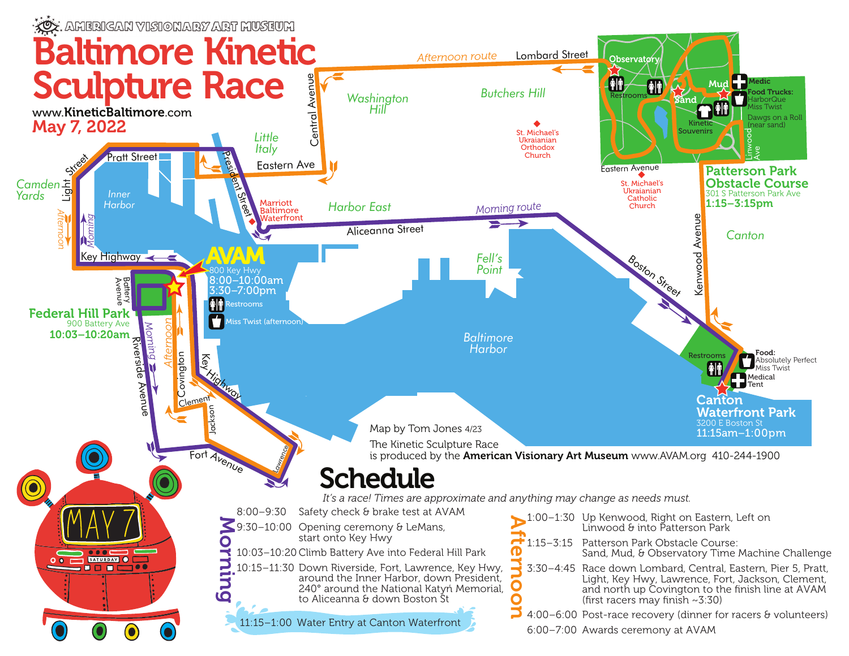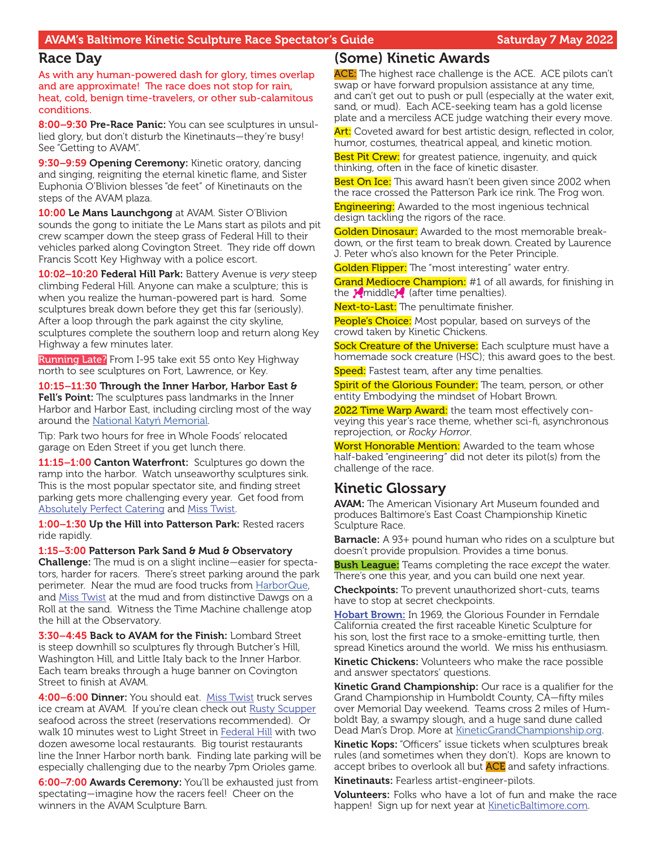#### AVAM's Baltimore Kinetic Sculpture Race Spectator's Guide Saturday 7 May 2022

#### Race Day

As with any human-powered dash for glory, times overlap and are approximate! The race does not stop for rain, heat, cold, benign time-travelers, or other sub-calamitous conditions.

8:00–9:30 Pre-Race Panic: You can see sculptures in unsullied glory, but don't disturb the Kinetinauts—they're busy! See "Getting to AVAM".

9:30–9:59 Opening Ceremony: Kinetic oratory, dancing and singing, reigniting the eternal kinetic flame, and Sister Euphonia O'Blivion blesses "de feet" of Kinetinauts on the steps of the AVAM plaza.

10:00 Le Mans Launchgong at AVAM. Sister O'Blivion sounds the gong to initiate the Le Mans start as pilots and pit crew scamper down the steep grass of Federal Hill to their vehicles parked along Covington Street. They ride off down Francis Scott Key Highway with a police escort.

10:02–10:20 Federal Hill Park: Battery Avenue is *very* steep climbing Federal Hill. Anyone can make a sculpture; this is when you realize the human-powered part is hard. Some sculptures break down before they get this far (seriously). After a loop through the park against the city skyline, sculptures complete the southern loop and return along Key Highway a few minutes later.

Running Late? From I-95 take exit 55 onto Key Highway north to see sculptures on Fort, Lawrence, or Key.

10:15–11:30 Through the Inner Harbor, Harbor East & Fell's Point: The sculptures pass landmarks in the Inner Harbor and Harbor East, including circling most of the way around the [National Katyń Memorial.](http://www.katynbaltimore.org/)

Tip: Park two hours for free in Whole Foods' relocated garage on Eden Street if you get lunch there.

11:15-1:00 Canton Waterfront: Sculptures go down the ramp into the harbor. Watch unseaworthy sculptures sink. This is the most popular spectator site, and finding street parking gets more challenging every year. Get food from **[Absolutely Perfect Catering](http://www.absolutelyperfectcatering.com/) and [Miss Twist](https://www.facebook.com/pages/Miss-Twist-Ice-Cream/120395381313862).** 

1:00-1:30 Up the Hill into Patterson Park: Rested racers ride rapidly.

1:15–3:00 Patterson Park Sand & Mud & Observatory Challenge: The mud is on a slight incline—easier for spectators, harder for racers. There's street parking around the park perimeter. Near the mud are food trucks from [HarborQue](https://www.facebook.com/harborquebaltimore/), and [Miss Twist](https://www.facebook.com/pages/Miss-Twist-Ice-Cream/120395381313862) at the mud and from distinctive Dawgs on a Roll at the sand. Witness the Time Machine challenge atop the hill at the Observatory.

3:30–4:45 Back to AVAM for the Finish: Lombard Street is steep downhill so sculptures fly through Butcher's Hill, Washington Hill, and Little Italy back to the Inner Harbor. Each team breaks through a huge banner on Covington Street to finish at AVAM.

4:00–6:00 Dinner: You should eat. [Miss Twist](https://www.facebook.com/pages/Miss-Twist-Ice-Cream/120395381313862) truck serves ice cream at AVAM. If you're clean check out [Rusty Scupper](http://www.rusty-scupper.com/) seafood across the street (reservations recommended). Or walk 10 minutes west to Light Street in [Federal Hill](https://www.baltimoremagazine.com/section/fooddrink/federal-hill-sees-new-wave-dining-and-nightlife/) with two dozen awesome local restaurants. Big tourist restaurants line the Inner Harbor north bank. Finding late parking will be especially challenging due to the nearby 7pm Orioles game.

6:00–7:00 Awards Ceremony: You'll be exhausted just from spectating—imagine how the racers feel! Cheer on the winners in the AVAM Sculpture Barn.

#### (Some) Kinetic Awards

ACE: The highest race challenge is the ACE. ACE pilots can't swap or have forward propulsion assistance at any time, and can't get out to push or pull (especially at the water exit, sand, or mud). Each ACE-seeking team has a gold license plate and a merciless ACE judge watching their every move.

Art: Coveted award for best artistic design, reflected in color, humor, costumes, theatrical appeal, and kinetic motion.

Best Pit Crew: for greatest patience, ingenuity, and quick thinking, often in the face of kinetic disaster.

Best On Ice: This award hasn't been given since 2002 when the race crossed the Patterson Park ice rink. The Frog won.

**Engineering:** Awarded to the most ingenious technical design tackling the rigors of the race.

Golden Dinosaur: Awarded to the most memorable breakdown, or the first team to break down. Created by Laurence J. Peter who's also known for the Peter Principle.

Golden Flipper: The "most interesting" water entry.

Grand Mediocre Champion: #1 of all awards, for finishing in the  $\sqrt{\frac{1}{2}}$  (after time penalties).

Next-to-Last: The penultimate finisher.

People's Choice: Most popular, based on surveys of the crowd taken by Kinetic Chickens.

Sock Creature of the Universe: Each sculpture must have a homemade sock creature (HSC); this award goes to the best. Speed: Fastest team, after any time penalties.

<mark>Spirit of the Glorious Founder:</mark> The team, person, or other<br>entity Embodying the mindset of Hobart Brown. entity Embodying the mindset of Hobart Brown.

2022 Time Warp Award: the team most effectively conveying this year's race theme, whether sci-fi, asynchronous reprojection, or *Rocky Horror*.

Worst Honorable Mention: Awarded to the team whose half-baked "engineering" did not deter its pilot(s) from the challenge of the race.

## Kinetic Glossary

**AVAM:** The American Visionary Art Museum founded and produces Baltimore's East Coast Championship Kinetic Sculpture Race.

**Barnacle:** A 93+ pound human who rides on a sculpture but doesn't provide propulsion. Provides a time bonus.

Bush League: Teams completing the race *except* the water. There's one this year, and you can build one next year.

**Checkpoints:** To prevent unauthorized short-cuts, teams have to stop at secret checkpoints.

[Hobart Brown:](http://en.wikipedia.org/wiki/Hobart_Brown) In 1969, the Glorious Founder in Ferndale California created the first raceable Kinetic Sculpture for his son, lost the first race to a smoke-emitting turtle, then spread Kinetics around the world. We miss his enthusiasm.

Kinetic Chickens: Volunteers who make the race possible and answer spectators' questions.

**Kinetic Grand Championship:** Our race is a qualifier for the Grand Championship in Humboldt County, CA—fifty miles over Memorial Day weekend. Teams cross 2 miles of Humboldt Bay, a swampy slough, and a huge sand dune called Dead Man's Drop. More at [KineticGrandChampionship.org.](http://http://kineticgrandchampionship.com/)

Kinetic Kops: "Officers" issue tickets when sculptures break rules (and sometimes when they don't). Kops are known to accept bribes to overlook all but **ACE** and safety infractions.

Kinetinauts: Fearless artist-engineer-pilots.

Volunteers: Folks who have a lot of fun and make the race happen! Sign up for next year at **KineticBaltimore.com**.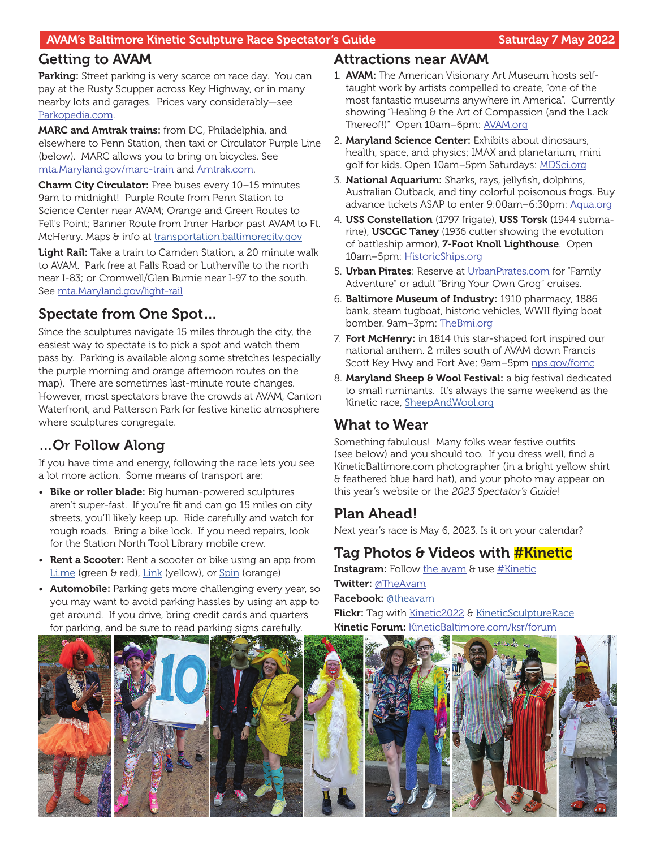## Getting to AVAM

Parking: Street parking is very scarce on race day. You can pay at the Rusty Scupper across Key Highway, or in many nearby lots and garages. Prices vary considerably—see [Parkopedia.com](http://en.parkopedia.com/).

MARC and Amtrak trains: from DC, Philadelphia, and elsewhere to Penn Station, then taxi or Circulator Purple Line (below). MARC allows you to bring on bicycles. See [mta.Maryland.gov/marc-train](http://mta.maryland.gov/marc-train) and [Amtrak.com.](http://www.amtrak.com/)

Charm City Circulator: Free buses every 10–15 minutes 9am to midnight! Purple Route from Penn Station to Science Center near AVAM; Orange and Green Routes to Fell's Point; Banner Route from Inner Harbor past AVAM to Ft. McHenry. Maps & info at transportation.baltimorecity.gov

Light Rail: Take a train to Camden Station, a 20 minute walk to AVAM. Park free at Falls Road or Lutherville to the north near I-83; or Cromwell/Glen Burnie near I-97 to the south. See [mta.Maryland.gov/light-rail](http://mta.maryland.gov/light-rail)

# Spectate from One Spot…

Since the sculptures navigate 15 miles through the city, the easiest way to spectate is to pick a spot and watch them pass by. Parking is available along some stretches (especially the purple morning and orange afternoon routes on the map). There are sometimes last-minute route changes. However, most spectators brave the crowds at AVAM, Canton Waterfront, and Patterson Park for festive kinetic atmosphere where sculptures congregate.

# …Or Follow Along

If you have time and energy, following the race lets you see a lot more action. Some means of transport are:

- Bike or roller blade: Big human-powered sculptures aren't super-fast. If you're fit and can go 15 miles on city streets, you'll likely keep up. Ride carefully and watch for rough roads. Bring a bike lock. If you need repairs, look for the Station North Tool Library mobile crew.
- Rent a Scooter: Rent a scooter or bike using an app from L[i.me](https://www.li.me/) (green & red), L[ink](https://www.link.city/baltimore) (yellow), or S[pin](https://www.spin.app/) (orange)
- Automobile: Parking gets more challenging every year, so you may want to avoid parking hassles by using an app to get around. If you drive, bring credit cards and quarters for parking, and be sure to read parking signs carefully.

## Attractions near AVAM

- 1. AVAM: The American Visionary Art Museum hosts selftaught work by artists compelled to create, "one of the most fantastic museums anywhere in America". Currently showing "Healing & the Art of Compassion (and the Lack Thereof!)" Open 10am–6pm: [AVAM.org](http://AVAM.org)
- 2. Maryland Science Center: Exhibits about dinosaurs, health, space, and physics; IMAX and planetarium, mini golf for kids. Open 10am-5pm Saturdays: [MDSci.org](http://MDSci.org)
- 3. National Aquarium: Sharks, rays, jellyfish, dolphins, Australian Outback, and tiny colorful poisonous frogs. Buy advance tickets ASAP to enter 9:00am–6:30pm: [Aqua.org](http://Aqua.org)
- 4. USS Constellation (1797 frigate), USS Torsk (1944 submarine), USCGC Taney (1936 cutter showing the evolution of battleship armor), 7-Foot Knoll Lighthouse. Open 10am–5pm: [HistoricShips.org](http://HistoricShips.org)
- 5. **Urban Pirates**: Reserve at [UrbanPirates.com](http://UrbanPirates.com) for "Family Adventure" or adult "Bring Your Own Grog" cruises.
- 6. Baltimore Museum of Industry: 1910 pharmacy, 1886 bank, steam tugboat, historic vehicles, WWII flying boat bomber. 9am–3pm: [TheBmi.org](http://TheBmi.org)
- 7. Fort McHenry: in 1814 this star-shaped fort inspired our national anthem. 2 miles south of AVAM down Francis Scott Key Hwy and Fort Ave; 9am-5pm [nps.gov/fomc](http://nps.gov/fomc)
- 8. Maryland Sheep & Wool Festival: a big festival dedicated to small ruminants. It's always the same weekend as the Kinetic race, S[heepAndWool.org](https://sheepandwool.org/)

## What to Wear

Something fabulous! Many folks wear festive outfits (see below) and you should too. If you dress well, find a KineticBaltimore.com photographer (in a bright yellow shirt & feathered blue hard hat), and your photo may appear on this year's website or the *2023 Spectator's Guide*!

# Plan Ahead!

Next year's race is May 6, 2023. Is it on your calendar?

# Tag Photos & Videos with **#Kinetic**

**Instagram:** Follow [the avam](http://instagram.com/the_avam) & use [#Kinetic](http://instagram.com/explore/tags/kinetic/) Twitter: [@TheAvam](https://twitter.com/TheAVAM) Facebook: [@theavam](https://www.facebook.com/theavam/) Flickr: Tag with [Kinetic2](https://www.flickr.com/search/?text=kinetic2022)022 & [KineticSculptureRace](https://www.flickr.com/search/?text=KineticSculptureRace) Kinetic Forum: [KineticBaltimore.com/ksr/forum](http://KineticBaltimore.com/ksr/forum)